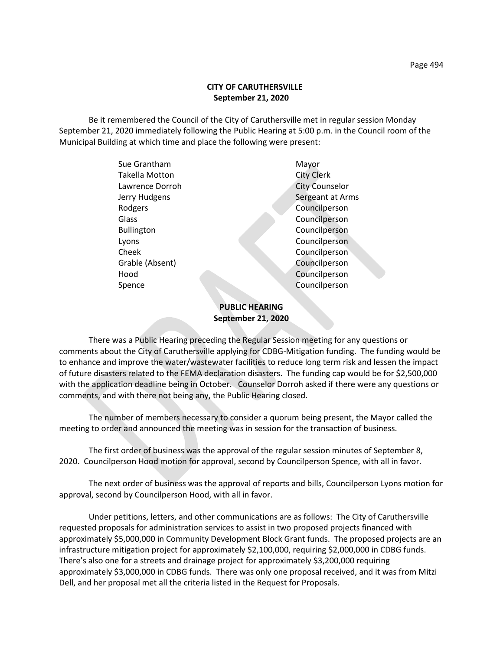## **CITY OF CARUTHERSVILLE September 21, 2020**

Be it remembered the Council of the City of Caruthersville met in regular session Monday September 21, 2020 immediately following the Public Hearing at 5:00 p.m. in the Council room of the Municipal Building at which time and place the following were present:

| Sue Grantham      | Mayor                 |
|-------------------|-----------------------|
| Takella Motton    | <b>City Clerk</b>     |
| Lawrence Dorroh   | <b>City Counselor</b> |
| Jerry Hudgens     | Sergeant at Arms      |
| Rodgers           | Councilperson         |
| Glass             | Councilperson         |
| <b>Bullington</b> | Councilperson         |
| Lyons             | Councilperson         |
| Cheek             | Councilperson         |
| Grable (Absent)   | Councilperson         |
| Hood              | Councilperson         |
| Spence            | Councilperson         |
|                   |                       |

# **PUBLIC HEARING September 21, 2020**

There was a Public Hearing preceding the Regular Session meeting for any questions or comments about the City of Caruthersville applying for CDBG-Mitigation funding. The funding would be to enhance and improve the water/wastewater facilities to reduce long term risk and lessen the impact of future disasters related to the FEMA declaration disasters. The funding cap would be for \$2,500,000 with the application deadline being in October. Counselor Dorroh asked if there were any questions or comments, and with there not being any, the Public Hearing closed.

The number of members necessary to consider a quorum being present, the Mayor called the meeting to order and announced the meeting was in session for the transaction of business.

The first order of business was the approval of the regular session minutes of September 8, 2020. Councilperson Hood motion for approval, second by Councilperson Spence, with all in favor.

The next order of business was the approval of reports and bills, Councilperson Lyons motion for approval, second by Councilperson Hood, with all in favor.

Under petitions, letters, and other communications are as follows: The City of Caruthersville requested proposals for administration services to assist in two proposed projects financed with approximately \$5,000,000 in Community Development Block Grant funds. The proposed projects are an infrastructure mitigation project for approximately \$2,100,000, requiring \$2,000,000 in CDBG funds. There's also one for a streets and drainage project for approximately \$3,200,000 requiring approximately \$3,000,000 in CDBG funds. There was only one proposal received, and it was from Mitzi Dell, and her proposal met all the criteria listed in the Request for Proposals.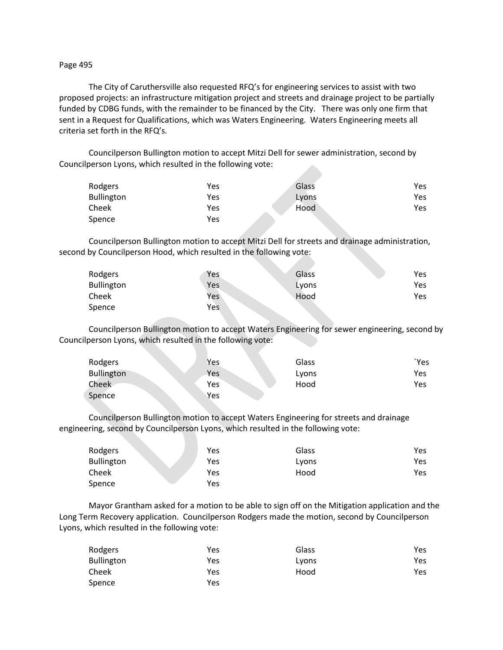### Page 495

The City of Caruthersville also requested RFQ's for engineering services to assist with two proposed projects: an infrastructure mitigation project and streets and drainage project to be partially funded by CDBG funds, with the remainder to be financed by the City. There was only one firm that sent in a Request for Qualifications, which was Waters Engineering. Waters Engineering meets all criteria set forth in the RFQ's.

Councilperson Bullington motion to accept Mitzi Dell for sewer administration, second by Councilperson Lyons, which resulted in the following vote:

| Rodgers           | Yes | Glass | Yes |
|-------------------|-----|-------|-----|
| <b>Bullington</b> | Yes | Lyons | Yes |
| Cheek             | Yes | Hood  | Yes |
| Spence            | Yes |       |     |

Councilperson Bullington motion to accept Mitzi Dell for streets and drainage administration, second by Councilperson Hood, which resulted in the following vote:

| Rodgers           | Yes | Glass | <b>Yes</b> |
|-------------------|-----|-------|------------|
| <b>Bullington</b> | Yes | Lyons | Yes        |
| Cheek             | Yes | Hood  | Yes        |
| Spence            | Yes |       |            |

Councilperson Bullington motion to accept Waters Engineering for sewer engineering, second by Councilperson Lyons, which resulted in the following vote:

| Rodgers           | Yes | Glass | `Yes |
|-------------------|-----|-------|------|
| <b>Bullington</b> | Yes | Lyons | Yes  |
| Cheek             | Yes | Hood  | Yes  |
| Spence            | Yes |       |      |

Councilperson Bullington motion to accept Waters Engineering for streets and drainage engineering, second by Councilperson Lyons, which resulted in the following vote:

| Rodgers           | Yes | Glass | Yes. |
|-------------------|-----|-------|------|
| <b>Bullington</b> | Yes | Lyons | Yes  |
| Cheek             | Yes | Hood  | Yes  |
| Spence            | Yes |       |      |

Mayor Grantham asked for a motion to be able to sign off on the Mitigation application and the Long Term Recovery application. Councilperson Rodgers made the motion, second by Councilperson Lyons, which resulted in the following vote:

| Rodgers           | Yes | Glass | Yes |
|-------------------|-----|-------|-----|
| <b>Bullington</b> | Yes | Lyons | Yes |
| Cheek             | Yes | Hood  | Yes |
| Spence            | Yes |       |     |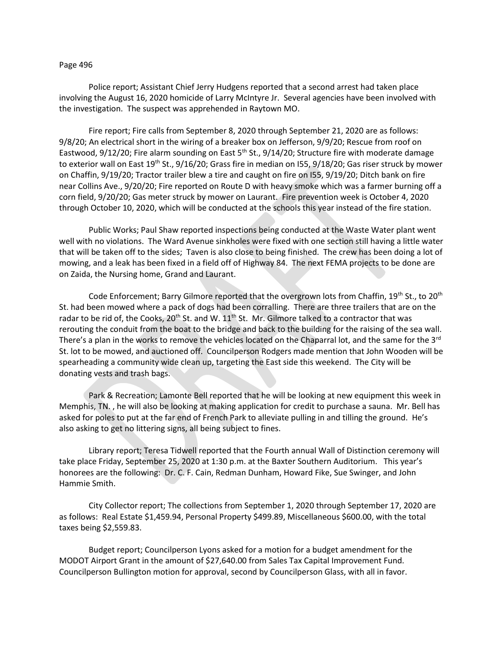#### Page 496

Police report; Assistant Chief Jerry Hudgens reported that a second arrest had taken place involving the August 16, 2020 homicide of Larry McIntyre Jr. Several agencies have been involved with the investigation. The suspect was apprehended in Raytown MO.

Fire report; Fire calls from September 8, 2020 through September 21, 2020 are as follows: 9/8/20; An electrical short in the wiring of a breaker box on Jefferson, 9/9/20; Rescue from roof on Eastwood, 9/12/20; Fire alarm sounding on East 5<sup>th</sup> St., 9/14/20; Structure fire with moderate damage to exterior wall on East 19<sup>th</sup> St., 9/16/20; Grass fire in median on I55, 9/18/20; Gas riser struck by mower on Chaffin, 9/19/20; Tractor trailer blew a tire and caught on fire on I55, 9/19/20; Ditch bank on fire near Collins Ave., 9/20/20; Fire reported on Route D with heavy smoke which was a farmer burning off a corn field, 9/20/20; Gas meter struck by mower on Laurant. Fire prevention week is October 4, 2020 through October 10, 2020, which will be conducted at the schools this year instead of the fire station.

Public Works; Paul Shaw reported inspections being conducted at the Waste Water plant went well with no violations. The Ward Avenue sinkholes were fixed with one section still having a little water that will be taken off to the sides; Taven is also close to being finished. The crew has been doing a lot of mowing, and a leak has been fixed in a field off of Highway 84. The next FEMA projects to be done are on Zaida, the Nursing home, Grand and Laurant.

Code Enforcement; Barry Gilmore reported that the overgrown lots from Chaffin,  $19^{th}$  St., to 20<sup>th</sup> St. had been mowed where a pack of dogs had been corralling. There are three trailers that are on the radar to be rid of, the Cooks, 20<sup>th</sup> St. and W.  $11^{th}$  St. Mr. Gilmore talked to a contractor that was rerouting the conduit from the boat to the bridge and back to the building for the raising of the sea wall. There's a plan in the works to remove the vehicles located on the Chaparral lot, and the same for the 3<sup>rd</sup> St. lot to be mowed, and auctioned off. Councilperson Rodgers made mention that John Wooden will be spearheading a community wide clean up, targeting the East side this weekend. The City will be donating vests and trash bags.

Park & Recreation; Lamonte Bell reported that he will be looking at new equipment this week in Memphis, TN. , he will also be looking at making application for credit to purchase a sauna. Mr. Bell has asked for poles to put at the far end of French Park to alleviate pulling in and tilling the ground. He's also asking to get no littering signs, all being subject to fines.

Library report; Teresa Tidwell reported that the Fourth annual Wall of Distinction ceremony will take place Friday, September 25, 2020 at 1:30 p.m. at the Baxter Southern Auditorium. This year's honorees are the following: Dr. C. F. Cain, Redman Dunham, Howard Fike, Sue Swinger, and John Hammie Smith.

City Collector report; The collections from September 1, 2020 through September 17, 2020 are as follows: Real Estate \$1,459.94, Personal Property \$499.89, Miscellaneous \$600.00, with the total taxes being \$2,559.83.

Budget report; Councilperson Lyons asked for a motion for a budget amendment for the MODOT Airport Grant in the amount of \$27,640.00 from Sales Tax Capital Improvement Fund. Councilperson Bullington motion for approval, second by Councilperson Glass, with all in favor.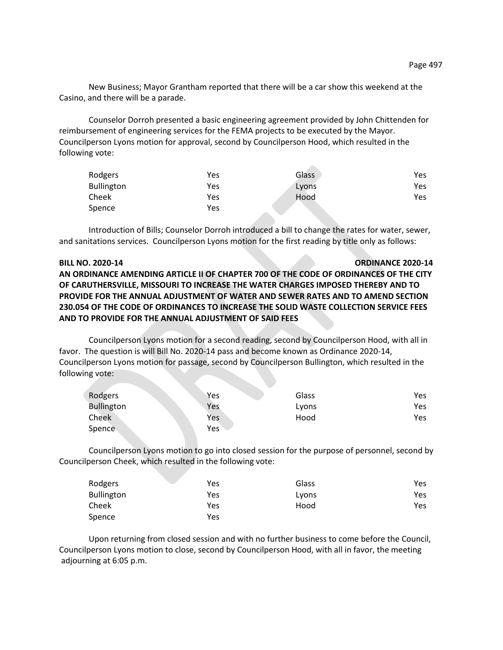New Business; Mayor Grantham reported that there will be a car show this weekend at the Casino, and there will be a parade.

Counselor Dorroh presented a basic engineering agreement provided by John Chittenden for reimbursement of engineering services for the FEMA projects to be executed by the Mayor. Councilperson Lyons motion for approval, second by Councilperson Hood, which resulted in the following vote:

| Rodgers           | Yes | Glass | Yes. |
|-------------------|-----|-------|------|
| <b>Bullington</b> | Yes | Lyons | Yes  |
| Cheek             | Yes | Hood  | Yes  |
| Spence            | Yes |       |      |

 $\sim$ 

Introduction of Bills; Counselor Dorroh introduced a bill to change the rates for water, sewer, and sanitations services. Councilperson Lyons motion for the first reading by title only as follows:

#### **BILL NO. 2020-14 ORDINANCE 2020-14**

**AN ORDINANCE AMENDING ARTICLE II OF CHAPTER 700 OF THE CODE OF ORDINANCES OF THE CITY OF CARUTHERSVILLE, MISSOURI TO INCREASE THE WATER CHARGES IMPOSED THEREBY AND TO PROVIDE FOR THE ANNUAL ADJUSTMENT OF WATER AND SEWER RATES AND TO AMEND SECTION 230.054 OF THE CODE OF ORDINANCES TO INCREASE THE SOLID WASTE COLLECTION SERVICE FEES AND TO PROVIDE FOR THE ANNUAL ADJUSTMENT OF SAID FEES**

Councilperson Lyons motion for a second reading, second by Councilperson Hood, with all in favor. The question is will Bill No. 2020-14 pass and become known as Ordinance 2020-14, Councilperson Lyons motion for passage, second by Councilperson Bullington, which resulted in the following vote:

| Rodgers           | Yes | Glass | Yes |
|-------------------|-----|-------|-----|
| <b>Bullington</b> | Yes | Lyons | Yes |
| Cheek             | Yes | Hood  | Yes |
| Spence            | Yes |       |     |

Councilperson Lyons motion to go into closed session for the purpose of personnel, second by Councilperson Cheek, which resulted in the following vote:

| Rodgers           | Yes | Glass | Yes  |
|-------------------|-----|-------|------|
| <b>Bullington</b> | Yes | Lyons | Yes. |
| Cheek             | Yes | Hood  | Yes  |
| Spence            | Yes |       |      |

Upon returning from closed session and with no further business to come before the Council, Councilperson Lyons motion to close, second by Councilperson Hood, with all in favor, the meeting adjourning at 6:05 p.m.